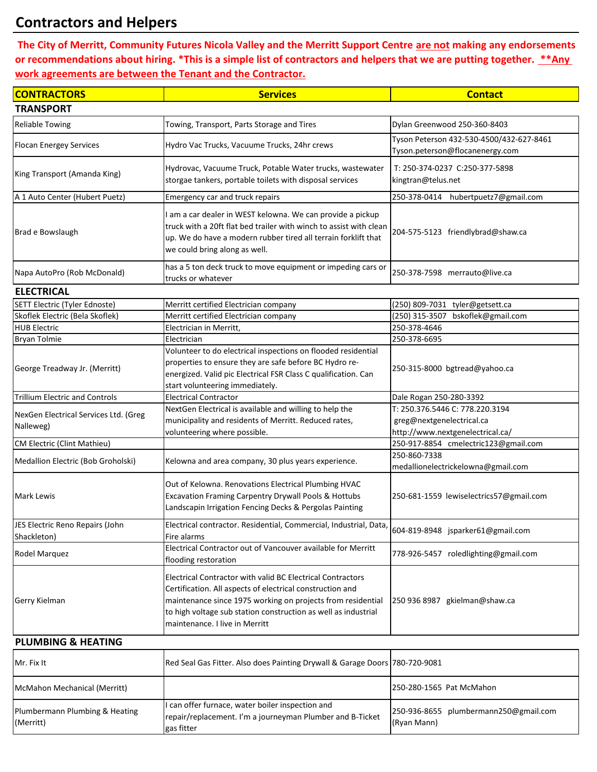# **Contractors and Helpers**

Plumbermann Plumbing & Heating

(Merritt)

 **The City of Merritt, Community Futures Nicola Valley and the Merritt Support Centre are not making any endorsements or recommendations about hiring. \*This is a simple list of contractors and helpers that we are putting together. \*\*Any work agreements are between the Tenant and the Contractor.**

| <b>CONTRACTORS</b>                                 | <b>Services</b>                                                                                                                                                                                                                                                                            | <b>Contact</b>                                                                                   |  |  |
|----------------------------------------------------|--------------------------------------------------------------------------------------------------------------------------------------------------------------------------------------------------------------------------------------------------------------------------------------------|--------------------------------------------------------------------------------------------------|--|--|
| <b>TRANSPORT</b>                                   |                                                                                                                                                                                                                                                                                            |                                                                                                  |  |  |
| <b>Reliable Towing</b>                             | Towing, Transport, Parts Storage and Tires                                                                                                                                                                                                                                                 | Dylan Greenwood 250-360-8403                                                                     |  |  |
| <b>Flocan Energey Services</b>                     | Hydro Vac Trucks, Vacuume Trucks, 24hr crews                                                                                                                                                                                                                                               | Tyson Peterson 432-530-4500/432-627-8461<br>Tyson.peterson@flocanenergy.com                      |  |  |
| King Transport (Amanda King)                       | Hydrovac, Vacuume Truck, Potable Water trucks, wastewater<br>storgae tankers, portable toilets with disposal services                                                                                                                                                                      | T: 250-374-0237 C:250-377-5898<br>kingtran@telus.net                                             |  |  |
| A 1 Auto Center (Hubert Puetz)                     | <b>Emergency car and truck repairs</b>                                                                                                                                                                                                                                                     | 250-378-0414 hubertpuetz7@gmail.com                                                              |  |  |
| Brad e Bowslaugh                                   | I am a car dealer in WEST kelowna. We can provide a pickup<br>truck with a 20ft flat bed trailer with winch to assist with clean<br>up. We do have a modern rubber tired all terrain forklift that<br>we could bring along as well.                                                        | 204-575-5123 friendlybrad@shaw.ca                                                                |  |  |
| Napa AutoPro (Rob McDonald)                        | has a 5 ton deck truck to move equipment or impeding cars or<br>trucks or whatever                                                                                                                                                                                                         | 250-378-7598 merrauto@live.ca                                                                    |  |  |
| <b>ELECTRICAL</b>                                  |                                                                                                                                                                                                                                                                                            |                                                                                                  |  |  |
| SETT Electric (Tyler Ednoste)                      | Merritt certified Electrician company                                                                                                                                                                                                                                                      | (250) 809-7031 tyler@getsett.ca                                                                  |  |  |
| Skoflek Electric (Bela Skoflek)                    | Merritt certified Electrician company                                                                                                                                                                                                                                                      | (250) 315-3507 bskoflek@gmail.com                                                                |  |  |
| <b>HUB Electric</b>                                | Electrician in Merritt,                                                                                                                                                                                                                                                                    | 250-378-4646                                                                                     |  |  |
| <b>Bryan Tolmie</b>                                | Electrician                                                                                                                                                                                                                                                                                | 250-378-6695                                                                                     |  |  |
| George Treadway Jr. (Merritt)                      | Volunteer to do electrical inspections on flooded residential<br>properties to ensure they are safe before BC Hydro re-<br>energized. Valid pic Electrical FSR Class C qualification. Can<br>start volunteering immediately.                                                               | 250-315-8000 bgtread@yahoo.ca                                                                    |  |  |
| <b>Trillium Electric and Controls</b>              | <b>Electrical Contractor</b>                                                                                                                                                                                                                                                               | Dale Rogan 250-280-3392                                                                          |  |  |
| NexGen Electrical Services Ltd. (Greg<br>Nalleweg) | NextGen Electrical is available and willing to help the<br>municipality and residents of Merritt. Reduced rates,<br>volunteering where possible.                                                                                                                                           | T: 250.376.5446 C: 778.220.3194<br>greg@nextgenelectrical.ca<br>http://www.nextgenelectrical.ca/ |  |  |
| CM Electric (Clint Mathieu)                        |                                                                                                                                                                                                                                                                                            | 250-917-8854 cmelectric123@gmail.com                                                             |  |  |
| Medallion Electric (Bob Groholski)                 | Kelowna and area company, 30 plus years experience.                                                                                                                                                                                                                                        | 250-860-7338<br>medallionelectrickelowna@gmail.com                                               |  |  |
| <b>Mark Lewis</b>                                  | Out of Kelowna. Renovations Electrical Plumbing HVAC<br>Excavation Framing Carpentry Drywall Pools & Hottubs<br>Landscapin Irrigation Fencing Decks & Pergolas Painting                                                                                                                    | 250-681-1559 lewiselectrics57@gmail.com                                                          |  |  |
| JES Electric Reno Repairs (John<br>Shackleton)     | Electrical contractor. Residential, Commercial, Industrial, Data,<br>Fire alarms                                                                                                                                                                                                           | 604-819-8948 jsparker61@gmail.com                                                                |  |  |
| Rodel Marquez                                      | Electrical Contractor out of Vancouver available for Merritt<br>flooding restoration                                                                                                                                                                                                       | 778-926-5457 roledlighting@gmail.com                                                             |  |  |
| Gerry Kielman                                      | Electrical Contractor with valid BC Electrical Contractors<br>Certification. All aspects of electrical construction and<br>maintenance since 1975 working on projects from residential<br>to high voltage sub station construction as well as industrial<br>maintenance. I live in Merritt | 250 936 8987 gkielman@shaw.ca                                                                    |  |  |
| <b>PLUMBING &amp; HEATING</b>                      |                                                                                                                                                                                                                                                                                            |                                                                                                  |  |  |
| Mr. Fix It                                         | Red Seal Gas Fitter. Also does Painting Drywall & Garage Doors 780-720-9081                                                                                                                                                                                                                |                                                                                                  |  |  |
| McMahon Mechanical (Merritt)                       |                                                                                                                                                                                                                                                                                            | 250-280-1565 Pat McMahon                                                                         |  |  |
| Dlumbormann Dlumbing 8. Hoating                    | can offer furnace, water boiler inspection and                                                                                                                                                                                                                                             | 350.036.9655 nlumbormann350@gmail                                                                |  |  |

repair/replacement. I'm a journeyman Plumber and B-Ticket

250-936-8655 plumbermann250@gmail.com

(Ryan Mann)

gas fitter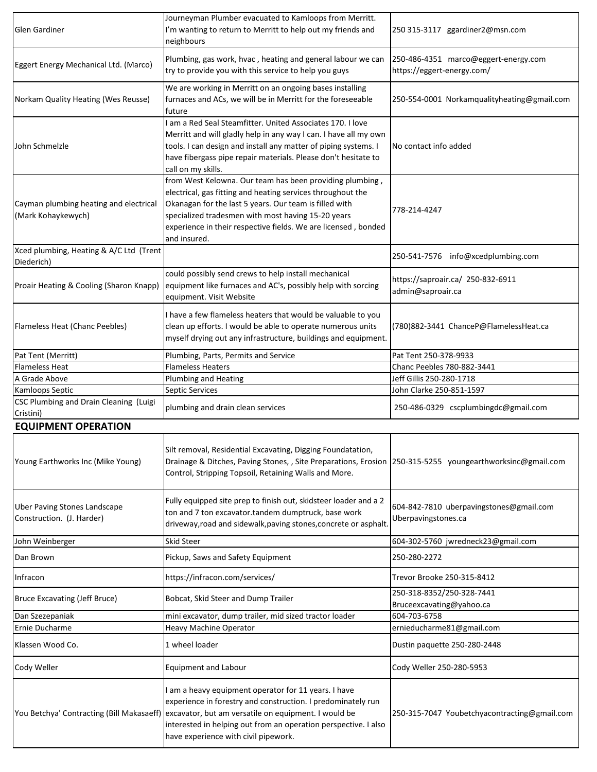| Glen Gardiner                                                    | Journeyman Plumber evacuated to Kamloops from Merritt.<br>I'm wanting to return to Merritt to help out my friends and<br>neighbours                                                                                                                                                                                               | 250 315-3117 ggardiner2@msn.com                                    |  |
|------------------------------------------------------------------|-----------------------------------------------------------------------------------------------------------------------------------------------------------------------------------------------------------------------------------------------------------------------------------------------------------------------------------|--------------------------------------------------------------------|--|
| Eggert Energy Mechanical Ltd. (Marco)                            | Plumbing, gas work, hvac, heating and general labour we can<br>try to provide you with this service to help you guys                                                                                                                                                                                                              | 250-486-4351 marco@eggert-energy.com<br>https://eggert-energy.com/ |  |
| Norkam Quality Heating (Wes Reusse)                              | We are working in Merritt on an ongoing bases installing<br>furnaces and ACs, we will be in Merritt for the foreseeable<br>future                                                                                                                                                                                                 | 250-554-0001 Norkamqualityheating@gmail.com                        |  |
| John Schmelzle                                                   | I am a Red Seal Steamfitter. United Associates 170. I love<br>Merritt and will gladly help in any way I can. I have all my own<br>tools. I can design and install any matter of piping systems. I<br>have fibergass pipe repair materials. Please don't hesitate to<br>call on my skills.                                         | No contact info added                                              |  |
| Cayman plumbing heating and electrical<br>(Mark Kohaykewych)     | from West Kelowna. Our team has been providing plumbing,<br>electrical, gas fitting and heating services throughout the<br>Okanagan for the last 5 years. Our team is filled with<br>specialized tradesmen with most having 15-20 years<br>experience in their respective fields. We are licensed, bonded<br>and insured.         | 778-214-4247                                                       |  |
| Xced plumbing, Heating & A/C Ltd (Trent<br>Diederich)            |                                                                                                                                                                                                                                                                                                                                   | 250-541-7576 info@xcedplumbing.com                                 |  |
| Proair Heating & Cooling (Sharon Knapp)                          | could possibly send crews to help install mechanical<br>equipment like furnaces and AC's, possibly help with sorcing<br>equipment. Visit Website                                                                                                                                                                                  | https://saproair.ca/ 250-832-6911<br>admin@saproair.ca             |  |
| Flameless Heat (Chanc Peebles)                                   | I have a few flameless heaters that would be valuable to you<br>clean up efforts. I would be able to operate numerous units<br>myself drying out any infrastructure, buildings and equipment.                                                                                                                                     | (780)882-3441 ChanceP@FlamelessHeat.ca                             |  |
| Pat Tent (Merritt)                                               | Plumbing, Parts, Permits and Service                                                                                                                                                                                                                                                                                              | Pat Tent 250-378-9933                                              |  |
| <b>Flameless Heat</b>                                            | <b>Flameless Heaters</b>                                                                                                                                                                                                                                                                                                          | Chanc Peebles 780-882-3441                                         |  |
| A Grade Above                                                    | Plumbing and Heating                                                                                                                                                                                                                                                                                                              | Jeff Gillis 250-280-1718                                           |  |
| Kamloops Septic                                                  | Septic Services                                                                                                                                                                                                                                                                                                                   | John Clarke 250-851-1597                                           |  |
| CSC Plumbing and Drain Cleaning (Luigi<br>Cristini)              | plumbing and drain clean services                                                                                                                                                                                                                                                                                                 | 250-486-0329 cscplumbingdc@gmail.com                               |  |
| <b>EQUIPMENT OPERATION</b>                                       |                                                                                                                                                                                                                                                                                                                                   |                                                                    |  |
| Young Earthworks Inc (Mike Young)                                | Silt removal, Residential Excavating, Digging Foundatation,<br>Drainage & Ditches, Paving Stones, , Site Preparations, Erosion   250-315-5255 youngearthworksinc@gmail.com<br>Control, Stripping Topsoil, Retaining Walls and More.                                                                                               |                                                                    |  |
| <b>Uber Paving Stones Landscape</b><br>Construction. (J. Harder) | Fully equipped site prep to finish out, skidsteer loader and a 2<br>ton and 7 ton excavator.tandem dumptruck, base work<br>driveway, road and sidewalk, paving stones, concrete or asphalt.                                                                                                                                       | 604-842-7810 uberpavingstones@gmail.com<br>Uberpavingstones.ca     |  |
| John Weinberger                                                  | <b>Skid Steer</b>                                                                                                                                                                                                                                                                                                                 | 604-302-5760 jwredneck23@gmail.com                                 |  |
| Dan Brown                                                        | Pickup, Saws and Safety Equipment                                                                                                                                                                                                                                                                                                 | 250-280-2272                                                       |  |
| Infracon                                                         | https://infracon.com/services/                                                                                                                                                                                                                                                                                                    | Trevor Brooke 250-315-8412                                         |  |
| Bruce Excavating (Jeff Bruce)                                    | Bobcat, Skid Steer and Dump Trailer                                                                                                                                                                                                                                                                                               | 250-318-8352/250-328-7441<br>Bruceexcavating@yahoo.ca              |  |
| Dan Szezepaniak                                                  | mini excavator, dump trailer, mid sized tractor loader                                                                                                                                                                                                                                                                            | 604-703-6758                                                       |  |
| Ernie Ducharme                                                   | <b>Heavy Machine Operator</b>                                                                                                                                                                                                                                                                                                     | ernieducharme81@gmail.com                                          |  |
| Klassen Wood Co.                                                 | 1 wheel loader                                                                                                                                                                                                                                                                                                                    | Dustin paquette 250-280-2448                                       |  |
| Cody Weller                                                      | <b>Equipment and Labour</b>                                                                                                                                                                                                                                                                                                       | Cody Weller 250-280-5953                                           |  |
|                                                                  | I am a heavy equipment operator for 11 years. I have<br>experience in forestry and construction. I predominately run<br>You Betchya' Contracting (Bill Makasaeff) excavator, but am versatile on equipment. I would be<br>interested in helping out from an operation perspective. I also<br>have experience with civil pipework. | 250-315-7047 Youbetchyacontracting@gmail.com                       |  |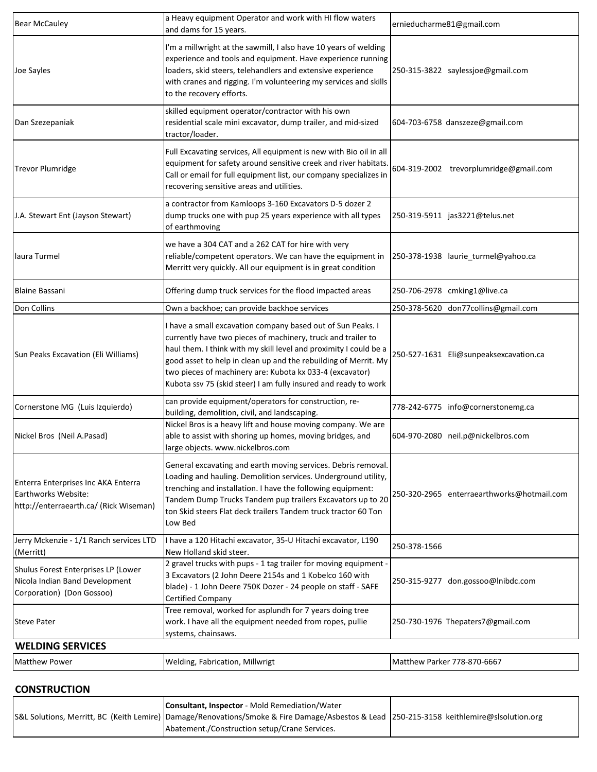| <b>Bear McCauley</b>                                                                                 | a Heavy equipment Operator and work with HI flow waters<br>and dams for 15 years.                                                                                                                                                                                                                                                                                                                | ernieducharme81@gmail.com                  |
|------------------------------------------------------------------------------------------------------|--------------------------------------------------------------------------------------------------------------------------------------------------------------------------------------------------------------------------------------------------------------------------------------------------------------------------------------------------------------------------------------------------|--------------------------------------------|
| Joe Sayles                                                                                           | I'm a millwright at the sawmill, I also have 10 years of welding<br>experience and tools and equipment. Have experience running<br>loaders, skid steers, telehandlers and extensive experience<br>with cranes and rigging. I'm volunteering my services and skills<br>to the recovery efforts.                                                                                                   | 250-315-3822 saylessjoe@gmail.com          |
| Dan Szezepaniak                                                                                      | skilled equipment operator/contractor with his own<br>residential scale mini excavator, dump trailer, and mid-sized<br>tractor/loader.                                                                                                                                                                                                                                                           | 604-703-6758 danszeze@gmail.com            |
| <b>Trevor Plumridge</b>                                                                              | Full Excavating services, All equipment is new with Bio oil in all<br>equipment for safety around sensitive creek and river habitats.<br>Call or email for full equipment list, our company specializes in<br>recovering sensitive areas and utilities.                                                                                                                                          | 604-319-2002 trevorplumridge@gmail.com     |
| J.A. Stewart Ent (Jayson Stewart)                                                                    | a contractor from Kamloops 3-160 Excavators D-5 dozer 2<br>dump trucks one with pup 25 years experience with all types<br>of earthmoving                                                                                                                                                                                                                                                         | 250-319-5911 jas3221@telus.net             |
| laura Turmel                                                                                         | we have a 304 CAT and a 262 CAT for hire with very<br>reliable/competent operators. We can have the equipment in<br>Merritt very quickly. All our equipment is in great condition                                                                                                                                                                                                                | 250-378-1938 laurie turmel@yahoo.ca        |
| <b>Blaine Bassani</b>                                                                                | Offering dump truck services for the flood impacted areas                                                                                                                                                                                                                                                                                                                                        | 250-706-2978 cmking1@live.ca               |
| Don Collins                                                                                          | Own a backhoe; can provide backhoe services                                                                                                                                                                                                                                                                                                                                                      | 250-378-5620 don77collins@gmail.com        |
| Sun Peaks Excavation (Eli Williams)                                                                  | have a small excavation company based out of Sun Peaks. I<br>currently have two pieces of machinery, truck and trailer to<br>haul them. I think with my skill level and proximity I could be a<br>good asset to help in clean up and the rebuilding of Merrit. My<br>two pieces of machinery are: Kubota kx 033-4 (excavator)<br>Kubota ssv 75 (skid steer) I am fully insured and ready to work | 250-527-1631 Eli@sunpeaksexcavation.ca     |
| Cornerstone MG (Luis Izquierdo)                                                                      | can provide equipment/operators for construction, re-<br>building, demolition, civil, and landscaping.                                                                                                                                                                                                                                                                                           | 778-242-6775 info@cornerstonemg.ca         |
| Nickel Bros (Neil A.Pasad)                                                                           | Nickel Bros is a heavy lift and house moving company. We are<br>able to assist with shoring up homes, moving bridges, and<br>large objects. www.nickelbros.com                                                                                                                                                                                                                                   | 604-970-2080 neil.p@nickelbros.com         |
| Enterra Enterprises Inc AKA Enterra<br>Earthworks Website:<br>http://enterraearth.ca/ (Rick Wiseman) | General excavating and earth moving services. Debris removal.<br>Loading and hauling. Demolition services. Underground utility,<br>trenching and installation. I have the following equipment:<br>Tandem Dump Trucks Tandem pup trailers Excavators up to 20<br>ton Skid steers Flat deck trailers Tandem truck tractor 60 Ton<br>Low Bed                                                        | 250-320-2965 enterraearthworks@hotmail.com |
| Jerry Mckenzie - 1/1 Ranch services LTD<br>(Merritt)                                                 | I have a 120 Hitachi excavator, 35-U Hitachi excavator, L190<br>New Holland skid steer.                                                                                                                                                                                                                                                                                                          | 250-378-1566                               |
| Shulus Forest Enterprises LP (Lower<br>Nicola Indian Band Development<br>Corporation) (Don Gossoo)   | 2 gravel trucks with pups - 1 tag trailer for moving equipment -<br>3 Excavators (2 John Deere 2154s and 1 Kobelco 160 with<br>blade) - 1 John Deere 750K Dozer - 24 people on staff - SAFE<br>Certified Company                                                                                                                                                                                 | 250-315-9277 don.gossoo@Inibdc.com         |
| <b>Steve Pater</b>                                                                                   | Tree removal, worked for asplundh for 7 years doing tree<br>work. I have all the equipment needed from ropes, pullie<br>systems, chainsaws.                                                                                                                                                                                                                                                      | 250-730-1976 Thepaters7@gmail.com          |
| <b>WELDING SERVICES</b>                                                                              |                                                                                                                                                                                                                                                                                                                                                                                                  |                                            |
| <b>Matthew Power</b>                                                                                 | Welding, Fabrication, Millwrigt                                                                                                                                                                                                                                                                                                                                                                  | Matthew Parker 778-870-6667                |

#### **CONSTRUCTION**

| <b>Consultant, Inspector</b> - Mold Remediation/Water                                                                                    |  |
|------------------------------------------------------------------------------------------------------------------------------------------|--|
| S&L Solutions, Merritt, BC (Keith Lemire) Damage/Renovations/Smoke & Fire Damage/Asbestos & Lead 250-215-3158 keithlemire@slsolution.org |  |
| Abatement./Construction setup/Crane Services.                                                                                            |  |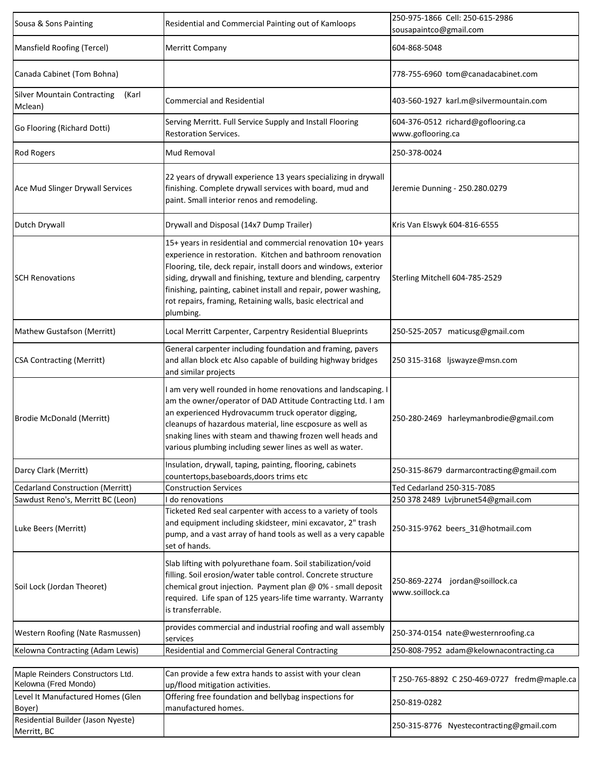| Sousa & Sons Painting                                    | Residential and Commercial Painting out of Kamloops                                                                                                                                                                                                                                                                                                                                                             | 250-975-1866 Cell: 250-615-2986<br>sousapaintco@gmail.com |  |
|----------------------------------------------------------|-----------------------------------------------------------------------------------------------------------------------------------------------------------------------------------------------------------------------------------------------------------------------------------------------------------------------------------------------------------------------------------------------------------------|-----------------------------------------------------------|--|
| Mansfield Roofing (Tercel)                               | <b>Merritt Company</b>                                                                                                                                                                                                                                                                                                                                                                                          | 604-868-5048                                              |  |
| Canada Cabinet (Tom Bohna)                               |                                                                                                                                                                                                                                                                                                                                                                                                                 | 778-755-6960 tom@canadacabinet.com                        |  |
| <b>Silver Mountain Contracting</b><br>(Karl<br>Mclean)   | <b>Commercial and Residential</b>                                                                                                                                                                                                                                                                                                                                                                               | 403-560-1927 karl.m@silvermountain.com                    |  |
| Go Flooring (Richard Dotti)                              | Serving Merritt. Full Service Supply and Install Flooring<br><b>Restoration Services.</b>                                                                                                                                                                                                                                                                                                                       | 604-376-0512 richard@goflooring.ca<br>www.goflooring.ca   |  |
| <b>Rod Rogers</b>                                        | <b>Mud Removal</b>                                                                                                                                                                                                                                                                                                                                                                                              | 250-378-0024                                              |  |
| Ace Mud Slinger Drywall Services                         | 22 years of drywall experience 13 years specializing in drywall<br>finishing. Complete drywall services with board, mud and<br>paint. Small interior renos and remodeling.                                                                                                                                                                                                                                      | Jeremie Dunning - 250.280.0279                            |  |
| Dutch Drywall                                            | Drywall and Disposal (14x7 Dump Trailer)                                                                                                                                                                                                                                                                                                                                                                        | Kris Van Elswyk 604-816-6555                              |  |
| <b>SCH Renovations</b>                                   | 15+ years in residential and commercial renovation 10+ years<br>experience in restoration. Kitchen and bathroom renovation<br>Flooring, tile, deck repair, install doors and windows, exterior<br>siding, drywall and finishing, texture and blending, carpentry<br>finishing, painting, cabinet install and repair, power washing,<br>rot repairs, framing, Retaining walls, basic electrical and<br>plumbing. | Sterling Mitchell 604-785-2529                            |  |
| Mathew Gustafson (Merritt)                               | Local Merritt Carpenter, Carpentry Residential Blueprints                                                                                                                                                                                                                                                                                                                                                       | 250-525-2057 maticusg@gmail.com                           |  |
| <b>CSA Contracting (Merritt)</b>                         | General carpenter including foundation and framing, pavers<br>and allan block etc Also capable of building highway bridges<br>and similar projects                                                                                                                                                                                                                                                              | 250 315-3168 ljswayze@msn.com                             |  |
| <b>Brodie McDonald (Merritt)</b>                         | I am very well rounded in home renovations and landscaping. I<br>am the owner/operator of DAD Attitude Contracting Ltd. I am<br>an experienced Hydrovacumm truck operator digging,<br>cleanups of hazardous material, line escposure as well as<br>snaking lines with steam and thawing frozen well heads and<br>various plumbing including sewer lines as well as water.                                       | 250-280-2469 harleymanbrodie@gmail.com                    |  |
| Darcy Clark (Merritt)                                    | Insulation, drywall, taping, painting, flooring, cabinets<br>countertops, baseboards, doors trims etc                                                                                                                                                                                                                                                                                                           | 250-315-8679 darmarcontracting@gmail.com                  |  |
| <b>Cedarland Construction (Merritt)</b>                  | <b>Construction Services</b>                                                                                                                                                                                                                                                                                                                                                                                    | Ted Cedarland 250-315-7085                                |  |
| Sawdust Reno's, Merritt BC (Leon)                        | do renovations                                                                                                                                                                                                                                                                                                                                                                                                  | 250 378 2489 Lvjbrunet54@gmail.com                        |  |
| Luke Beers (Merritt)                                     | Ticketed Red seal carpenter with access to a variety of tools<br>and equipment including skidsteer, mini excavator, 2" trash<br>pump, and a vast array of hand tools as well as a very capable<br>set of hands.                                                                                                                                                                                                 | 250-315-9762 beers 31@hotmail.com                         |  |
| Soil Lock (Jordan Theoret)                               | Slab lifting with polyurethane foam. Soil stabilization/void<br>filling. Soil erosion/water table control. Concrete structure<br>chemical grout injection. Payment plan @ 0% - small deposit<br>required. Life span of 125 years-life time warranty. Warranty<br>is transferrable.                                                                                                                              | 250-869-2274 jordan@soillock.ca<br>www.soillock.ca        |  |
| Western Roofing (Nate Rasmussen)                         | provides commercial and industrial roofing and wall assembly<br>services                                                                                                                                                                                                                                                                                                                                        | 250-374-0154 nate@westernroofing.ca                       |  |
| Kelowna Contracting (Adam Lewis)                         | Residential and Commercial General Contracting                                                                                                                                                                                                                                                                                                                                                                  | 250-808-7952 adam@kelownacontracting.ca                   |  |
| Maple Reinders Constructors Ltd.<br>Kelowna (Fred Mondo) | Can provide a few extra hands to assist with your clean<br>up/flood mitigation activities.                                                                                                                                                                                                                                                                                                                      | T 250-765-8892 C 250-469-0727 fredm@maple.ca              |  |
| Level It Manufactured Homes (Glen<br>Boyer)              | Offering free foundation and bellybag inspections for<br>manufactured homes.                                                                                                                                                                                                                                                                                                                                    | 250-819-0282                                              |  |
| Residential Builder (Jason Nyeste)<br>Merritt, BC        |                                                                                                                                                                                                                                                                                                                                                                                                                 | 250-315-8776 Nyestecontracting@gmail.com                  |  |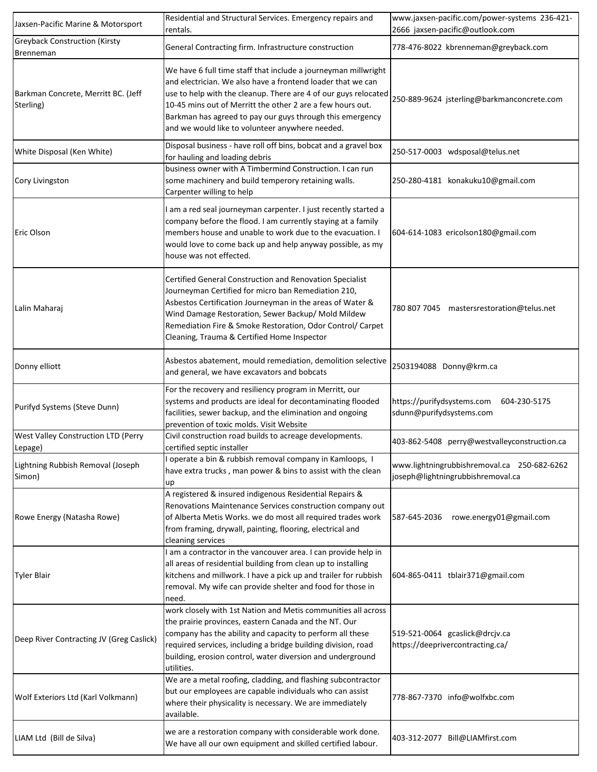| Jaxsen-Pacific Marine & Motorsport                       | Residential and Structural Services. Emergency repairs and<br>rentals.                                                                                                                                                                                                                                                                                                         | www.jaxsen-pacific.com/power-systems 236-421-<br>2666 jaxsen-pacific@outlook.com |  |
|----------------------------------------------------------|--------------------------------------------------------------------------------------------------------------------------------------------------------------------------------------------------------------------------------------------------------------------------------------------------------------------------------------------------------------------------------|----------------------------------------------------------------------------------|--|
| <b>Greyback Construction (Kirsty</b><br><b>Brenneman</b> | General Contracting firm. Infrastructure construction                                                                                                                                                                                                                                                                                                                          | 778-476-8022 kbrenneman@greyback.com                                             |  |
| Barkman Concrete, Merritt BC. (Jeff<br>Sterling)         | We have 6 full time staff that include a journeyman millwright<br>and electrician. We also have a frontend loader that we can<br>use to help with the cleanup. There are 4 of our guys relocated<br>10-45 mins out of Merritt the other 2 are a few hours out.<br>Barkman has agreed to pay our guys through this emergency<br>and we would like to volunteer anywhere needed. | 250-889-9624 jsterling@barkmanconcrete.com                                       |  |
| White Disposal (Ken White)                               | Disposal business - have roll off bins, bobcat and a gravel box<br>for hauling and loading debris                                                                                                                                                                                                                                                                              | 250-517-0003 wdsposal@telus.net                                                  |  |
| Cory Livingston                                          | business owner with A Timbermind Construction. I can run<br>some machinery and build temperory retaining walls.<br>Carpenter willing to help                                                                                                                                                                                                                                   | 250-280-4181 konakuku10@gmail.com                                                |  |
| Eric Olson                                               | am a red seal journeyman carpenter. I just recently started a<br>company before the flood. I am currently staying at a family<br>members house and unable to work due to the evacuation. I<br>would love to come back up and help anyway possible, as my<br>house was not effected.                                                                                            | 604-614-1083 ericolson180@gmail.com                                              |  |
| Lalin Maharaj                                            | Certified General Construction and Renovation Specialist<br>Journeyman Certified for micro ban Remediation 210,<br>Asbestos Certification Journeyman in the areas of Water &<br>Wind Damage Restoration, Sewer Backup/ Mold Mildew<br>Remediation Fire & Smoke Restoration, Odor Control/ Carpet<br>Cleaning, Trauma & Certified Home Inspector                                | 780 807 7045 mastersrestoration@telus.net                                        |  |
| Donny elliott                                            | Asbestos abatement, mould remediation, demolition selective<br>and general, we have excavators and bobcats                                                                                                                                                                                                                                                                     | 2503194088 Donny@krm.ca                                                          |  |
| Purifyd Systems (Steve Dunn)                             | For the recovery and resiliency program in Merritt, our<br>systems and products are ideal for decontaminating flooded<br>facilities, sewer backup, and the elimination and ongoing<br>prevention of toxic molds. Visit Website                                                                                                                                                 | https://purifydsystems.com<br>604-230-5175<br>sdunn@purifydsystems.com           |  |
| West Valley Construction LTD (Perry<br>Lepage)           | Civil construction road builds to acreage developments.<br>certified septic installer                                                                                                                                                                                                                                                                                          | 403-862-5408 perry@westvalleyconstruction.ca                                     |  |
| Lightning Rubbish Removal (Joseph<br>Simon)              | I operate a bin & rubbish removal company in Kamloops, I<br>have extra trucks, man power & bins to assist with the clean<br>up                                                                                                                                                                                                                                                 | www.lightningrubbishremoval.ca 250-682-6262<br>joseph@lightningrubbishremoval.ca |  |
| Rowe Energy (Natasha Rowe)                               | A registered & insured indigenous Residential Repairs &<br>Renovations Maintenance Services construction company out<br>of Alberta Metis Works. we do most all required trades work<br>from framing, drywall, painting, flooring, electrical and<br>cleaning services                                                                                                          | rowe.energy01@gmail.com<br>587-645-2036                                          |  |
| <b>Tyler Blair</b>                                       | I am a contractor in the vancouver area. I can provide help in<br>all areas of residential building from clean up to installing<br>kitchens and millwork. I have a pick up and trailer for rubbish<br>removal. My wife can provide shelter and food for those in<br>need.                                                                                                      | 604-865-0411 tblair371@gmail.com                                                 |  |
| Deep River Contracting JV (Greg Caslick)                 | work closely with 1st Nation and Metis communities all across<br>the prairie provinces, eastern Canada and the NT. Our<br>company has the ability and capacity to perform all these<br>required services, including a bridge building division, road<br>building, erosion control, water diversion and underground<br>utilities.                                               | 519-521-0064 gcaslick@drcjv.ca<br>https://deeprivercontracting.ca/               |  |
| Wolf Exteriors Ltd (Karl Volkmann)                       | We are a metal roofing, cladding, and flashing subcontractor<br>but our employees are capable individuals who can assist<br>where their physicality is necessary. We are immediately<br>available.                                                                                                                                                                             | 778-867-7370 info@wolfxbc.com                                                    |  |
| LIAM Ltd (Bill de Silva)                                 | we are a restoration company with considerable work done.<br>We have all our own equipment and skilled certified labour.                                                                                                                                                                                                                                                       | 403-312-2077 Bill@LIAMfirst.com                                                  |  |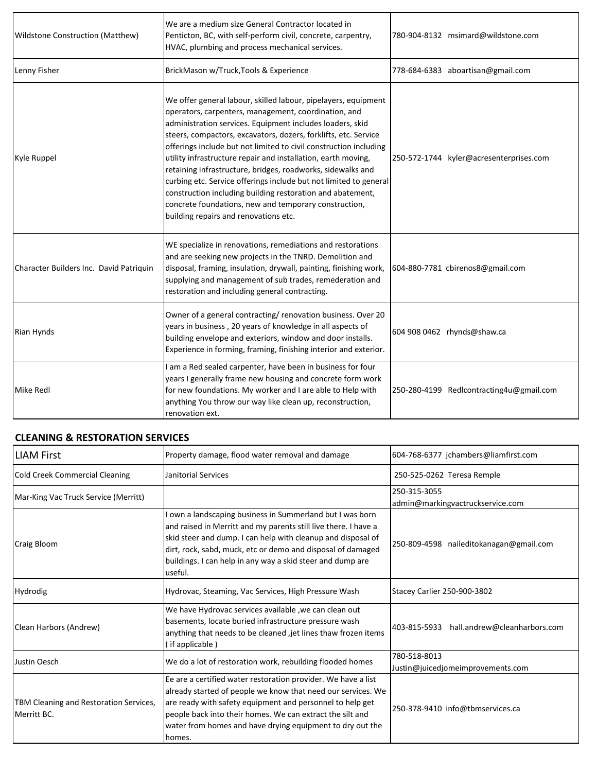| <b>Wildstone Construction (Matthew)</b> | We are a medium size General Contractor located in<br>Penticton, BC, with self-perform civil, concrete, carpentry,<br>HVAC, plumbing and process mechanical services.                                                                                                                                                                                                                                                                                                                                                                                                                                                                                                                            | 780-904-8132 msimard@wildstone.com       |
|-----------------------------------------|--------------------------------------------------------------------------------------------------------------------------------------------------------------------------------------------------------------------------------------------------------------------------------------------------------------------------------------------------------------------------------------------------------------------------------------------------------------------------------------------------------------------------------------------------------------------------------------------------------------------------------------------------------------------------------------------------|------------------------------------------|
| Lenny Fisher                            | BrickMason w/Truck, Tools & Experience                                                                                                                                                                                                                                                                                                                                                                                                                                                                                                                                                                                                                                                           | 778-684-6383 aboartisan@gmail.com        |
| Kyle Ruppel                             | We offer general labour, skilled labour, pipelayers, equipment<br>operators, carpenters, management, coordination, and<br>administration services. Equipment includes loaders, skid<br>steers, compactors, excavators, dozers, forklifts, etc. Service<br>offerings include but not limited to civil construction including<br>utility infrastructure repair and installation, earth moving,<br>retaining infrastructure, bridges, roadworks, sidewalks and<br>curbing etc. Service offerings include but not limited to general<br>construction including building restoration and abatement,<br>concrete foundations, new and temporary construction,<br>building repairs and renovations etc. | 250-572-1744 kyler@acresenterprises.com  |
| Character Builders Inc. David Patriquin | WE specialize in renovations, remediations and restorations<br>and are seeking new projects in the TNRD. Demolition and<br>disposal, framing, insulation, drywall, painting, finishing work,<br>supplying and management of sub trades, remederation and<br>restoration and including general contracting.                                                                                                                                                                                                                                                                                                                                                                                       | 604-880-7781 cbirenos8@gmail.com         |
| Rian Hynds                              | Owner of a general contracting/ renovation business. Over 20<br>years in business, 20 years of knowledge in all aspects of<br>building envelope and exteriors, window and door installs.<br>Experience in forming, framing, finishing interior and exterior.                                                                                                                                                                                                                                                                                                                                                                                                                                     | 604 908 0462 rhynds@shaw.ca              |
| Mike Redl                               | I am a Red sealed carpenter, have been in business for four<br>years I generally frame new housing and concrete form work<br>for new foundations. My worker and I are able to Help with<br>anything You throw our way like clean up, reconstruction,<br>renovation ext.                                                                                                                                                                                                                                                                                                                                                                                                                          | 250-280-4199 Redlcontracting4u@gmail.com |

#### **CLEANING & RESTORATION SERVICES**

| <b>LIAM First</b>                                     | Property damage, flood water removal and damage                                                                                                                                                                                                                                                                                    | 604-768-6377 jchambers@liamfirst.com              |
|-------------------------------------------------------|------------------------------------------------------------------------------------------------------------------------------------------------------------------------------------------------------------------------------------------------------------------------------------------------------------------------------------|---------------------------------------------------|
| <b>Cold Creek Commercial Cleaning</b>                 | Janitorial Services                                                                                                                                                                                                                                                                                                                | 250-525-0262 Teresa Remple                        |
| Mar-King Vac Truck Service (Merritt)                  |                                                                                                                                                                                                                                                                                                                                    | 250-315-3055<br>admin@markingvactruckservice.com  |
| <b>Craig Bloom</b>                                    | own a landscaping business in Summerland but I was born<br>and raised in Merritt and my parents still live there. I have a<br>skid steer and dump. I can help with cleanup and disposal of<br>dirt, rock, sabd, muck, etc or demo and disposal of damaged<br>buildings. I can help in any way a skid steer and dump are<br>useful. | 250-809-4598 naileditokanagan@gmail.com           |
| Hydrodig                                              | Hydrovac, Steaming, Vac Services, High Pressure Wash                                                                                                                                                                                                                                                                               | Stacey Carlier 250-900-3802                       |
| Clean Harbors (Andrew)                                | We have Hydrovac services available, we can clean out<br>basements, locate buried infrastructure pressure wash<br>anything that needs to be cleaned , jet lines thaw frozen items<br>(if applicable)                                                                                                                               | 403-815-5933 hall.andrew@cleanharbors.com         |
| Justin Oesch                                          | We do a lot of restoration work, rebuilding flooded homes                                                                                                                                                                                                                                                                          | 780-518-8013<br>Justin@juicedjomeimprovements.com |
| TBM Cleaning and Restoration Services,<br>Merritt BC. | Ee are a certified water restoration provider. We have a list<br>already started of people we know that need our services. We<br>are ready with safety equipment and personnel to help get<br>people back into their homes. We can extract the silt and<br>water from homes and have drying equipment to dry out the<br>homes.     | 250-378-9410 info@tbmservices.ca                  |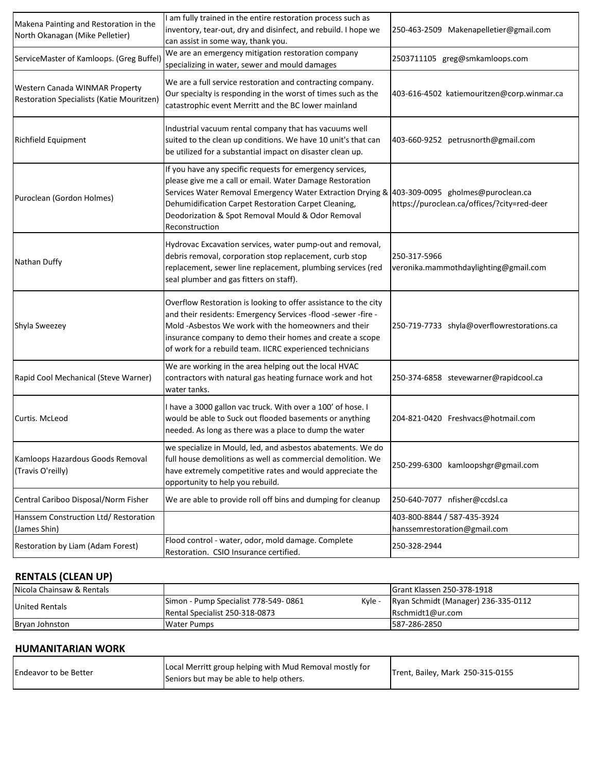| Makena Painting and Restoration in the<br>North Okanagan (Mike Pelletier)   | am fully trained in the entire restoration process such as<br>inventory, tear-out, dry and disinfect, and rebuild. I hope we<br>can assist in some way, thank you.                                                                                                                                                                                   | 250-463-2509 Makenapelletier@gmail.com                      |
|-----------------------------------------------------------------------------|------------------------------------------------------------------------------------------------------------------------------------------------------------------------------------------------------------------------------------------------------------------------------------------------------------------------------------------------------|-------------------------------------------------------------|
| ServiceMaster of Kamloops. (Greg Buffel)                                    | We are an emergency mitigation restoration company<br>specializing in water, sewer and mould damages                                                                                                                                                                                                                                                 | 2503711105 greg@smkamloops.com                              |
| Western Canada WINMAR Property<br>Restoration Specialists (Katie Mouritzen) | We are a full service restoration and contracting company.<br>Our specialty is responding in the worst of times such as the<br>catastrophic event Merritt and the BC lower mainland                                                                                                                                                                  | 403-616-4502 katiemouritzen@corp.winmar.ca                  |
| <b>Richfield Equipment</b>                                                  | Industrial vacuum rental company that has vacuums well<br>suited to the clean up conditions. We have 10 unit's that can<br>be utilized for a substantial impact on disaster clean up.                                                                                                                                                                | 403-660-9252 petrusnorth@gmail.com                          |
| Puroclean (Gordon Holmes)                                                   | If you have any specific requests for emergency services,<br>please give me a call or email. Water Damage Restoration<br>Services Water Removal Emergency Water Extraction Drying & 403-309-0095 gholmes@puroclean.ca<br>Dehumidification Carpet Restoration Carpet Cleaning,<br>Deodorization & Spot Removal Mould & Odor Removal<br>Reconstruction | https://puroclean.ca/offices/?city=red-deer                 |
| Nathan Duffy                                                                | Hydrovac Excavation services, water pump-out and removal,<br>debris removal, corporation stop replacement, curb stop<br>replacement, sewer line replacement, plumbing services (red<br>seal plumber and gas fitters on staff).                                                                                                                       | 250-317-5966<br>veronika.mammothdaylighting@gmail.com       |
| Shyla Sweezey                                                               | Overflow Restoration is looking to offer assistance to the city<br>and their residents: Emergency Services -flood -sewer -fire -<br>Mold-Asbestos We work with the homeowners and their<br>insurance company to demo their homes and create a scope<br>of work for a rebuild team. IICRC experienced technicians                                     | 250-719-7733 shyla@overflowrestorations.ca                  |
| Rapid Cool Mechanical (Steve Warner)                                        | We are working in the area helping out the local HVAC<br>contractors with natural gas heating furnace work and hot<br>water tanks.                                                                                                                                                                                                                   | 250-374-6858 stevewarner@rapidcool.ca                       |
| Curtis. McLeod                                                              | I have a 3000 gallon vac truck. With over a 100' of hose. I<br>would be able to Suck out flooded basements or anything<br>needed. As long as there was a place to dump the water                                                                                                                                                                     | 204-821-0420 Freshvacs@hotmail.com                          |
| Kamloops Hazardous Goods Removal<br>(Travis O'reilly)                       | we specialize in Mould, led, and asbestos abatements. We do<br>full house demolitions as well as commercial demolition. We<br>have extremely competitive rates and would appreciate the<br>opportunity to help you rebuild.                                                                                                                          | 250-299-6300 kamloopshgr@gmail.com                          |
| Central Cariboo Disposal/Norm Fisher                                        | We are able to provide roll off bins and dumping for cleanup                                                                                                                                                                                                                                                                                         | 250-640-7077 nfisher@ccdsl.ca                               |
| Hanssem Construction Ltd/ Restoration<br>(James Shin)                       |                                                                                                                                                                                                                                                                                                                                                      | 403-800-8844 / 587-435-3924<br>hanssemrestoration@gmail.com |
| Restoration by Liam (Adam Forest)                                           | Flood control - water, odor, mold damage. Complete<br>Restoration. CSIO Insurance certified.                                                                                                                                                                                                                                                         | 250-328-2944                                                |

### **RENTALS (CLEAN UP)**

| Nicola Chainsaw & Rentals |                                      | <b>IGrant Klassen 250-378-1918</b>         |
|---------------------------|--------------------------------------|--------------------------------------------|
| <b>United Rentals</b>     | Simon - Pump Specialist 778-549-0861 | Kyle - Ryan Schmidt (Manager) 236-335-0112 |
|                           | Rental Specialist 250-318-0873       | Rschmidt1@ur.com                           |
| Bryan Johnston            | Water Pumps                          | 587-286-2850                               |

#### **HUMANITARIAN WORK**

| <b>Endeavor to be Better</b> | Local Merritt group helping with Mud Removal mostly for<br>Seniors but may be able to help others. | Trent, Bailey, Mark 250-315-0155 |
|------------------------------|----------------------------------------------------------------------------------------------------|----------------------------------|
|------------------------------|----------------------------------------------------------------------------------------------------|----------------------------------|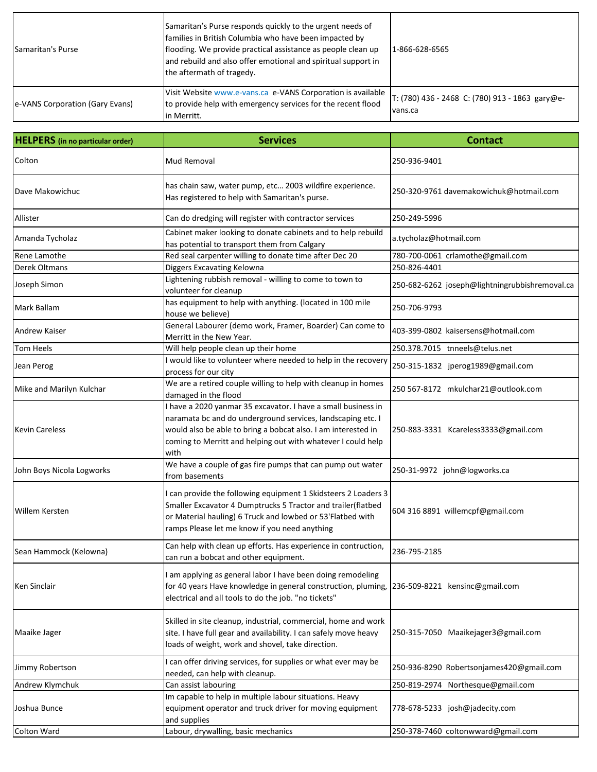| <b>Samaritan's Purse</b>        | Samaritan's Purse responds quickly to the urgent needs of<br>families in British Columbia who have been impacted by<br>flooding. We provide practical assistance as people clean up<br>and rebuild and also offer emotional and spiritual support in<br>the aftermath of tragedy. | 1-866-628-6565                                             |
|---------------------------------|-----------------------------------------------------------------------------------------------------------------------------------------------------------------------------------------------------------------------------------------------------------------------------------|------------------------------------------------------------|
| e-VANS Corporation (Gary Evans) | Visit Website www.e-vans.ca e-VANS Corporation is available<br>to provide help with emergency services for the recent flood<br>in Merritt.                                                                                                                                        | T: (780) 436 - 2468 C: (780) 913 - 1863 gary@e-<br>vans.ca |

| <b>HELPERS</b> (in no particular order) | <b>Services</b>                                                                                                                                                                                                                                                       | <b>Contact</b>                                 |
|-----------------------------------------|-----------------------------------------------------------------------------------------------------------------------------------------------------------------------------------------------------------------------------------------------------------------------|------------------------------------------------|
| Colton                                  | Mud Removal                                                                                                                                                                                                                                                           | 250-936-9401                                   |
| Dave Makowichuc                         | has chain saw, water pump, etc 2003 wildfire experience.<br>Has registered to help with Samaritan's purse.                                                                                                                                                            | 250-320-9761 davemakowichuk@hotmail.com        |
| Allister                                | Can do dredging will register with contractor services                                                                                                                                                                                                                | 250-249-5996                                   |
| Amanda Tycholaz                         | Cabinet maker looking to donate cabinets and to help rebuild<br>has potential to transport them from Calgary                                                                                                                                                          | a.tycholaz@hotmail.com                         |
| Rene Lamothe                            | Red seal carpenter willing to donate time after Dec 20                                                                                                                                                                                                                | 780-700-0061 crlamothe@gmail.com               |
| <b>Derek Oltmans</b>                    | Diggers Excavating Kelowna                                                                                                                                                                                                                                            | 250-826-4401                                   |
| Joseph Simon                            | Lightening rubbish removal - willing to come to town to<br>volunteer for cleanup                                                                                                                                                                                      | 250-682-6262 joseph@lightningrubbishremoval.ca |
| Mark Ballam                             | has equipment to help with anything. (located in 100 mile<br>house we believe)                                                                                                                                                                                        | 250-706-9793                                   |
| <b>Andrew Kaiser</b>                    | General Labourer (demo work, Framer, Boarder) Can come to<br>Merritt in the New Year.                                                                                                                                                                                 | 403-399-0802 kaisersens@hotmail.com            |
| Tom Heels                               | Will help people clean up their home                                                                                                                                                                                                                                  | 250.378.7015 tnneels@telus.net                 |
| Jean Perog                              | I would like to volunteer where needed to help in the recovery<br>process for our city                                                                                                                                                                                | 250-315-1832 jperog1989@gmail.com              |
| Mike and Marilyn Kulchar                | We are a retired couple willing to help with cleanup in homes<br>damaged in the flood                                                                                                                                                                                 | 250 567-8172 mkulchar21@outlook.com            |
| <b>Kevin Careless</b>                   | I have a 2020 yanmar 35 excavator. I have a small business in<br>naramata bc and do underground services, landscaping etc. I<br>would also be able to bring a bobcat also. I am interested in<br>coming to Merritt and helping out with whatever I could help<br>with | 250-883-3331 Kcareless3333@gmail.com           |
| John Boys Nicola Logworks               | We have a couple of gas fire pumps that can pump out water<br>from basements                                                                                                                                                                                          | 250-31-9972 john@logworks.ca                   |
| <b>Willem Kersten</b>                   | I can provide the following equipment 1 Skidsteers 2 Loaders 3<br>Smaller Excavator 4 Dumptrucks 5 Tractor and trailer(flatbed<br>or Material hauling) 6 Truck and lowbed or 53'Flatbed with<br>ramps Please let me know if you need anything                         | 604 316 8891 willemcpf@gmail.com               |
| Sean Hammock (Kelowna)                  | Can help with clean up efforts. Has experience in contruction,<br>can run a bobcat and other equipment.                                                                                                                                                               | 236-795-2185                                   |
| Ken Sinclair                            | I am applying as general labor I have been doing remodeling<br>for 40 years Have knowledge in general construction, pluming, 236-509-8221 kensinc@gmail.com<br>electrical and all tools to do the job. "no tickets"                                                   |                                                |
| Maaike Jager                            | Skilled in site cleanup, industrial, commercial, home and work<br>site. I have full gear and availability. I can safely move heavy<br>loads of weight, work and shovel, take direction.                                                                               | 250-315-7050 Maaikejager3@gmail.com            |
| Jimmy Robertson                         | can offer driving services, for supplies or what ever may be<br>needed, can help with cleanup.                                                                                                                                                                        | 250-936-8290 Robertsonjames420@gmail.com       |
| Andrew Klymchuk                         | Can assist labouring                                                                                                                                                                                                                                                  | 250-819-2974 Northesque@gmail.com              |
| Joshua Bunce                            | Im capable to help in multiple labour situations. Heavy<br>equipment operator and truck driver for moving equipment<br>and supplies                                                                                                                                   | 778-678-5233 josh@jadecity.com                 |
| <b>Colton Ward</b>                      | Labour, drywalling, basic mechanics                                                                                                                                                                                                                                   | 250-378-7460 coltonwward@gmail.com             |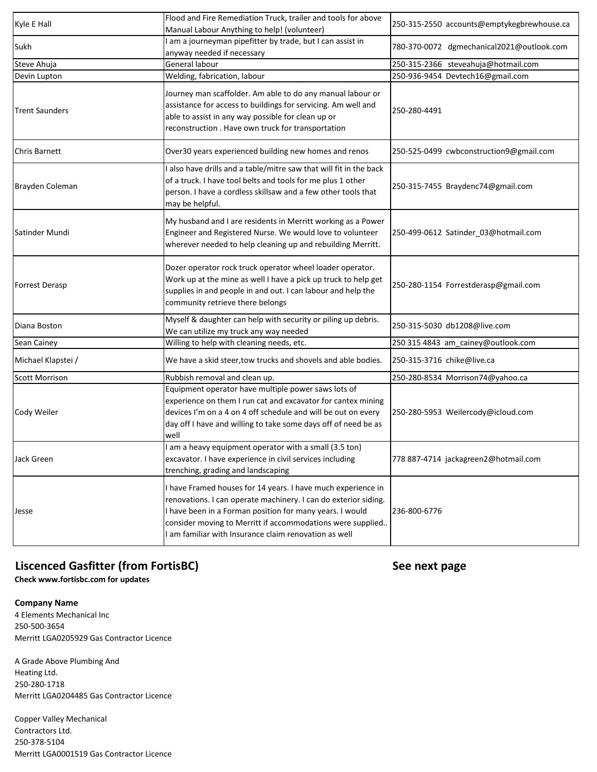| Kyle E Hall           | Flood and Fire Remediation Truck, trailer and tools for above<br>Manual Labour Anything to help! (volunteer)                                                                                                                                                                                                     | 250-315-2550 accounts@emptykegbrewhouse.ca |
|-----------------------|------------------------------------------------------------------------------------------------------------------------------------------------------------------------------------------------------------------------------------------------------------------------------------------------------------------|--------------------------------------------|
| Sukh                  | am a journeyman pipefitter by trade, but I can assist in<br>anyway needed if necessary                                                                                                                                                                                                                           | 780-370-0072 dgmechanical2021@outlook.com  |
| Steve Ahuja           | General labour                                                                                                                                                                                                                                                                                                   | 250-315-2366 steveahuja@hotmail.com        |
| Devin Lupton          | Welding, fabrication, labour                                                                                                                                                                                                                                                                                     | 250-936-9454 Devtech16@gmail.com           |
| <b>Trent Saunders</b> | Journey man scaffolder. Am able to do any manual labour or<br>assistance for access to buildings for servicing. Am well and<br>able to assist in any way possible for clean up or<br>reconstruction . Have own truck for transportation                                                                          | 250-280-4491                               |
| <b>Chris Barnett</b>  | Over30 years experienced building new homes and renos                                                                                                                                                                                                                                                            | 250-525-0499 cwbconstruction9@gmail.com    |
| Brayden Coleman       | all also have drills and a table/mitre saw that will fit in the back<br>of a truck. I have tool belts and tools for me plus 1 other<br>person. I have a cordless skillsaw and a few other tools that<br>may be helpful.                                                                                          | 250-315-7455 Braydenc74@gmail.com          |
| Satinder Mundi        | My husband and I are residents in Merritt working as a Power<br>Engineer and Registered Nurse. We would love to volunteer<br>wherever needed to help cleaning up and rebuilding Merritt.                                                                                                                         | 250-499-0612 Satinder_03@hotmail.com       |
| <b>Forrest Derasp</b> | Dozer operator rock truck operator wheel loader operator.<br>Work up at the mine as well I have a pick up truck to help get<br>supplies in and people in and out. I can labour and help the<br>community retrieve there belongs                                                                                  | 250-280-1154 Forrestderasp@gmail.com       |
| Diana Boston          | Myself & daughter can help with security or piling up debris.<br>We can utilize my truck any way needed                                                                                                                                                                                                          | 250-315-5030 db1208@live.com               |
| Sean Cainey           | Willing to help with cleaning needs, etc.                                                                                                                                                                                                                                                                        | 250 315 4843 am_cainey@outlook.com         |
| Michael Klapstei /    | We have a skid steer, tow trucks and shovels and able bodies.                                                                                                                                                                                                                                                    | 250-315-3716 chike@live.ca                 |
| <b>Scott Morrison</b> | Rubbish removal and clean up.                                                                                                                                                                                                                                                                                    | 250-280-8534 Morrison74@yahoo.ca           |
| Cody Weiler           | Equipment operator have multiple power saws lots of<br>experience on them I run cat and excavator for cantex mining<br>devices I'm on a 4 on 4 off schedule and will be out on every<br>day off I have and willing to take some days off of need be as<br>well                                                   | 250-280-5953 Weilercody@icloud.com         |
| Jack Green            | I am a heavy equipment operator with a small (3.5 ton)<br>excavator. I have experience in civil services including<br>trenching, grading and landscaping                                                                                                                                                         | 778 887-4714 jackagreen2@hotmail.com       |
| Jesse                 | I have Framed houses for 14 years. I have much experience in<br>renovations. I can operate machinery. I can do exterior siding.<br>I have been in a Forman position for many years. I would<br>consider moving to Merritt if accommodations were supplied<br>am familiar with Insurance claim renovation as well | 236-800-6776                               |

## **Liscenced Gasfitter (from FortisBC) See next page**

**Check www.fortisbc.com for updates**

**Company Name**

4 Elements Mechanical Inc 250-500-3654 Merritt LGA0205929 Gas Contractor Licence

A Grade Above Plumbing And Heating Ltd. 250-280-1718 Merritt LGA0204485 Gas Contractor Licence

Copper Valley Mechanical Contractors Ltd. 250-378-5104 Merritt LGA0001519 Gas Contractor Licence